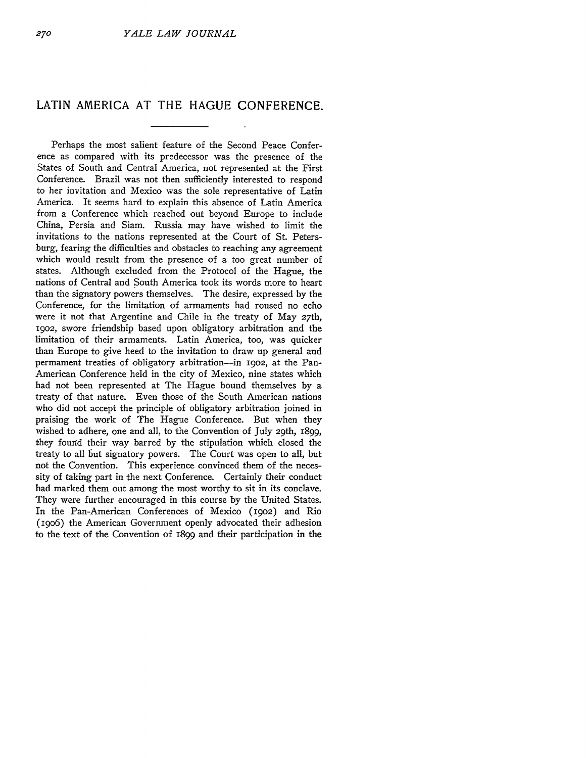# **LATIN** AMERICA **AT** THE **HAGUE CONFERENCE.**

Perhaps the most salient feature of the Second Peace Conference as compared with its predecessor was the presence of the States of South and Central America, not represented at the First Conference. Brazil was not then sufficiently interested to respond to her invitation and Mexico was the sole representative of Latin America. It seems hard to explain this absence of Latin America from a Conference which reached out beyond Europe to include China, Persia and Siam. Russia may have wished to limit the invitations to the nations represented at the Court of St. Petersburg, fearing the difficulties and obstacles to reaching any agreement which would result from the presence of a too great number of states. Although excluded from the Protocol of the Hague, the nations of Central and South America took its words more to heart than the signatory powers themselves. The desire, expressed by the Conference, for the limitation of armaments had roused no echo were it not that Argentine and Chile in the treaty of May *27th,* 1902, swore friendship based upon obligatory arbitration and the limitation of their armaments. Latin America, too, was quicker than Europe to give heed to the invitation to draw up general and permament treaties of obligatory arbitration-in 1902, at the Pan-American Conference held in the city of Mexico, nine states which had not been represented at The Hague bound themselves by a treaty of that nature. Even those of the South American nations who did not accept the principle of obligatory arbitration joined in praising the work of The Hague Conference. But when they wished to adhere, one and all, to the Convention of July 29th, 1899, they found their way barred by the stipulation which closed the treaty to all but signatory powers. The Court was open to all, but not the Convention. This experience convinced them of the necessity of taking part in the next Conference. Certainly their conduct had marked them out among the most worthy to sit in its conclave. They were further encouraged in this course by the United States. In the Pan-American Conferences of Mexico (19o2) and Rio (19o6) the American Government openly advocated their adhesion to the text of the Convention of 1899 and their participation in the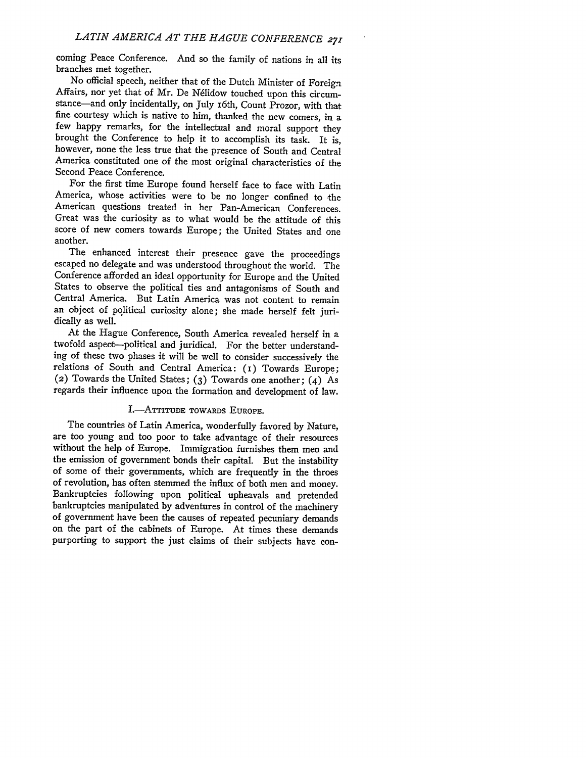coming Peace Conference. And so the family of nations in all its branches met together.

No official speech, neither that of the Dutch Minister of Foreign Affairs, nor yet that of Mr. De Nélidow touched upon this circumstance-and only incidentally, on July 16th, Count Prozor, with that fine courtesy which is native to him, thanked the new comers, in a few happy remarks, for the intellectual and moral support they brought the Conference to help it to accomplish its task. It is, however, none the less true that the presence of South and Central America constituted one of the most original characteristics of the Second Peace Conference.

For the first time Europe found herself face to face with Latin America, whose activities were to be no longer confined to the American questions treated in her Pan-American Conferences. Great was the curiosity as to what would be the attitude of this score of new comers towards Europe; the United States and one another.

The enhanced interest their presence gave the proceedings escaped no delegate and was understood throughout the world. The Conference afforded an ideal opportunity for Europe and the United States to observe the political ties and antagonisms of South and Central America. But Latin America was not content to remain an object of political curiosity alone; she made herself felt juridically as well.

At the Hague Conference, South America revealed herself in a twofold aspect-political and juridical. For the better understanding of these two phases it will be well to consider successively the relations of South and Central America: (i) Towards Europe; (2) Towards the United States; **(3)** Towards one another; (4) As regards their influence upon the formation and development of law.

#### I.-ATrITUDE TOWARDS **EUROPE.**

The countries **bf** Latin America, wonderfully favored by Nature, are too young and too poor to take advantage of their resources without the help of Europe. Immigration furnishes them men and the emission of government bonds their capital. But the instability of some of their governments, which are frequently in the throes of revolution, has often stemmed the influx of both men and money. Bankruptcies following upon political upheavals and pretended bankruptcies manipulated by adventures in control of the machinery of government have been the causes of repeated pecuniary demands on the part of the cabinets of Europe. At times these demands purporting to support the just claims of their subjects have con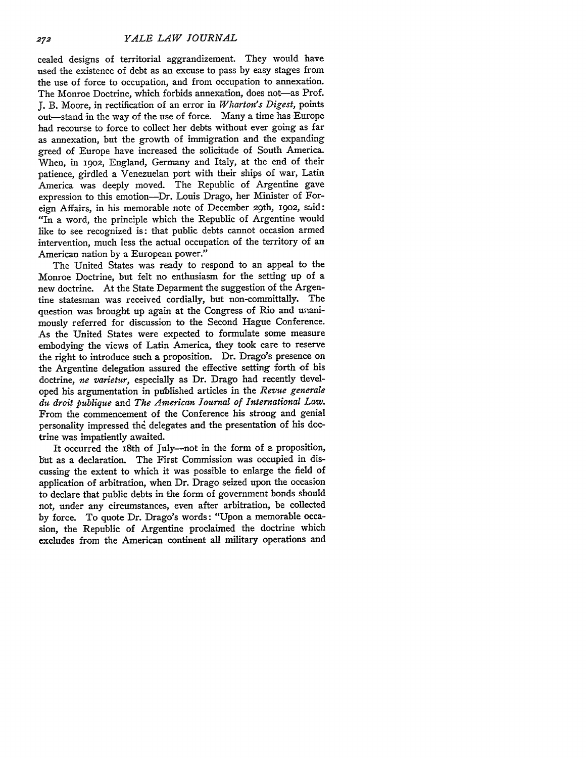cealed designs of territorial aggrandizement. They would have used the existence of debt as an excuse to pass by easy stages from the use of force to occupation, and from occupation to annexation. The Monroe Doctrine, which forbids annexation, does not-as Prof. J. B. Moore, in rectification of an error in *Wharton's Digest,* points out-stand in the way of the use of force. Many a time has Europe had recourse to force to collect her debts without ever going as far as annexation, but the growth of immigration and the expanding greed of Europe have increased the solicitude of South America. When, in 1902, England, Germany and Italy, at the end of their patience, girdled a Venezuelan port with their ships of war, Latin America was deeply moved. The Republic of Argentine gave expression to this emotion-Dr. Louis Drago, her Minister of Foreign Affairs, in his memorable note of December 29th, **19o2,** said: "In a word, the principle which the Republic of Argentine would like to see recognized is: that public debts cannot occasion armed intervention, much less the actual occupation of the territory of an American nation **by** a European power."

The United States was ready to respond to an appeal to the Monroe Doctrine, but felt no enthusiasm for the setting up of a new doctrine. At the State Deparment the suggestion of the Argentine statesman was received cordially, but non-committally. The question was brought up again at the Congress of Rio and unanimously referred for discussion to the Second Hague Conference. As the United States were expected to formulate some measure embodying the views of Latin America, they took care to reserve the right to introduce such a proposition. Dr. Drago's presence on the Argentine delegation assured the effective setting forth of his doctrine, *ne varietur*, especially as Dr. Drago had recently developed his argumentation in published articles in the *Revue generale du droit publique* and *The American Journal of International Law.* From the commencement of the Conference his strong and genial personality impressed the delegates and the presentation of his doctrine was impatiently awaited.

It occurred the i8th of July-not in the form of a proposition, but as a declaration. The First Commission was occupied in discussing the extent to which it was possible to enlarge the field of application of arbitration, when Dr. Drago seized upon the occasion to declare that public debts in the form of government bonds should not, under any circumstances, even after arbitration, be collected by force. To quote Dr. Drago's words: "Upon a memorable occasion, the Republic of Argentine proclaimed the doctrine which excludes from the American continent all military operations and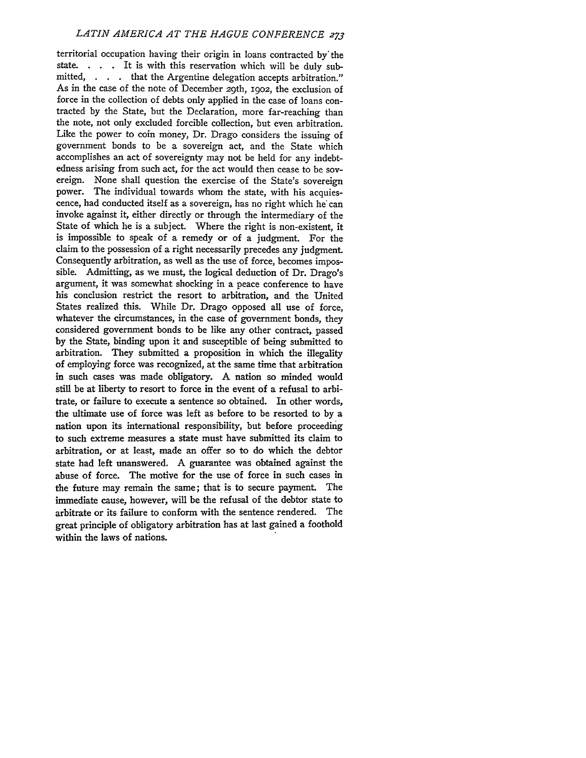### *LATIN AMERICA AT THE HAGUE CONFERENCE* **273**

territorial occupation having their origin in loans contracted by" the state. **. . .** It is with this reservation which will be duly submitted, **. . .** that the Argentine delegation accepts arbitration." As in the case of the note of December 29th, 1902, the exclusion of force in the collection of debts only applied in the case of loans contracted by the State, but the Declaration, more far-reaching than the note, not only excluded forcible collection, but even arbitration. Like the power to coin money, Dr. Drago considers the issuing of government bonds to be a sovereign act, and the State which accomplishes an act of sovereignty may not be held for any indebtedness arising from such act, for the act would then cease to be sovereign. None shall question the exercise of the State's sovereign power. The individual towards whom the state, with his acquiescence, had conducted itself as a sovereign, has no right which he' can invoke against it, either directly or through the intermediary of the State of which he is a subject. Where the right is non-existent, it is impossible to speak of a remedy or of a judgment. For the claim to the possession of a right necessarily precedes any judgment. Consequently arbitration, as well as the use of force, becomes impossible. Admitting, as we must, the logical deduction of Dr. Drago's argument, it was somewhat shocking in a peace conference to have his conclusion restrict the resort to arbitration, and the United States realized this. While Dr. Drago opposed all use of force, whatever the circumstances, in the case of government bonds, they considered government bonds to be like any other contract, passed by the State, binding upon it and susceptible of being submitted to arbitration. They submitted a proposition in which the illegality of employing force was recognized, at the same time that arbitration in such cases was made obligatory. A nation so minded would still be at liberty to resort to force in the event of a refusal to arbitrate, or failure to execute a sentence so obtained. In other words, the ultimate use of force was left as before to be resorted to by a nation upon its international responsibility, but before proceeding to such extreme measures a state must have submitted its claim to arbitration, or at least, made an offer so to do which the debtor state had left unanswered. A guarantee was obtained against the abuse of force. The motive for the use of force in such cases in the future may remain the same; that is to secure payment. The immediate cause, however, will be the refusal of the debtor state to arbitrate or its failure to conform with the sentence rendered. The great principle of obligatory arbitration has at last gained a foothold within the laws of nations.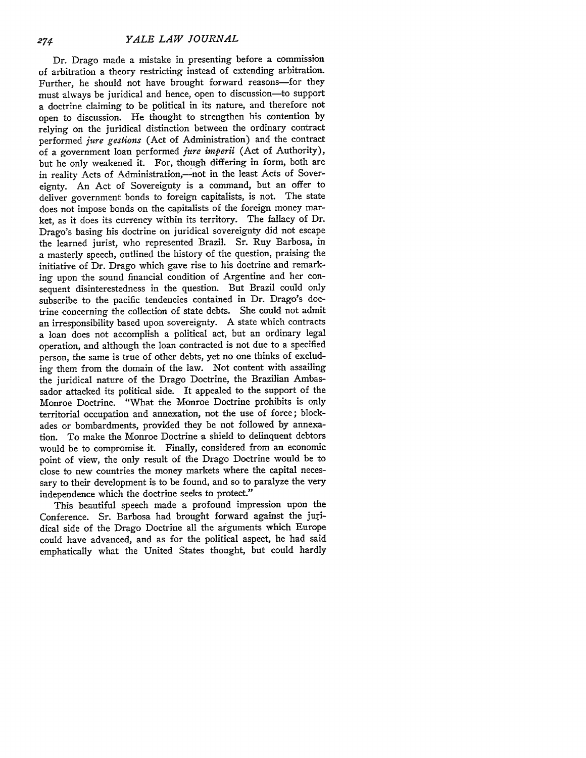Dr. Drago made a mistake in presenting before a commission of arbitration a theory restricting instead of extending arbitration. Further, he should not have brought forward reasons-for they must always be juridical and hence, open to discussion-to support a doctrine claiming to be political in its nature, and therefore not open to discussion. He thought to strengthen his contention by relying on the juridical distinction between the ordinary contract performed *jure gestions* (Act of Administration) and the contract of a government loan performed *jure imperii* (Act of Authority), but he only weakened it. For, though differing in form, both are in reality Acts of Administration,--not in the least Acts of Sovereignty. An Act of Sovereignty is a command, but an offer to deliver government bonds to foreign capitalists, is not. The state does not impose bonds on the capitalists of the foreign money market, as it does its currency within its territory. The fallacy of Dr. Drago's basing his doctrine on juridical sovereignty did not escape the learned jurist, who represented Brazil. Sr. Ruy Barbosa, in a masterly speech, outlined the history of the question, praising the initiative of Dr. Drago which gave rise to his doctrine and remarking upon the sound financial condition of Argentine and her consequent disinterestedness in the question. But Brazil could only subscribe to the pacific tendencies contained in Dr. Drago's doctrine concerning the collection of state debts. She could not admit an irresponsibility based upon sovereignty. A state which contracts a loan does not accomplish a political act, but an ordinary legal operation, and although the loan contracted is not due to a specified person, the same is true of other debts, yet no one thinks of excluding them from the domain of the law. Not content with assailing the juridical nature of the Drago Doctrine, the Brazilian Anbassador attacked its political side. It appealed to the support of the Monroe Doctrine. "What the Monroe Doctrine prohibits is only territorial occupation and annexation, not the use of force; blockades or bombardments, provided they be not followed by annexation. To make the Monroe Doctrine a shield to delinquent debtors would be to compromise it. Finally, considered from an economic point of view, the only result of the Drago Doctrine would be to close to new countries the money markets where the capital necessary to their development is to be found, and so to paralyze the very independence which the doctrine seeks to protect."

This beautiful speech made a profound impression upon the Conference. Sr. Barbosa had brought forward against the juridical side of the Drago Doctrine all the arguments which Europe could have advanced, and as for the political aspect, he had said emphatically what the United States thought, but could hardly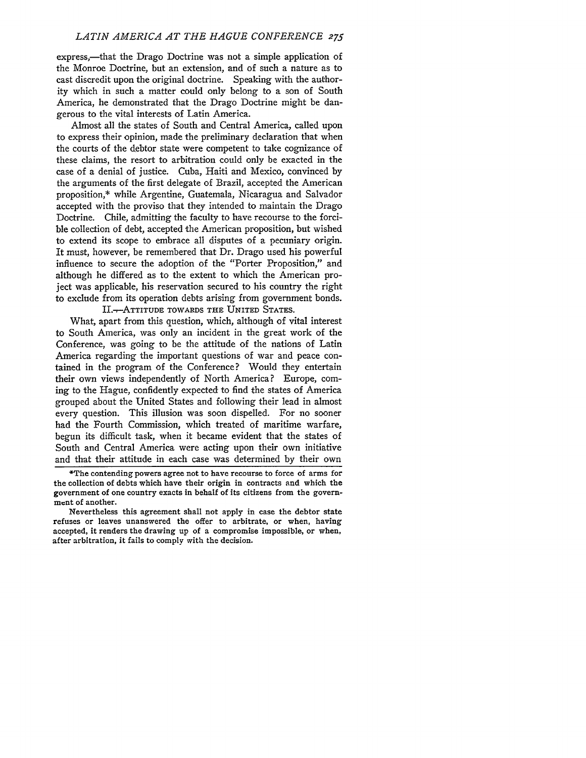### *LATIN AMERICA AT THE HAGUE CONFERENCE* **275**

express,—that the Drago Doctrine was not a simple application of the Monroe Doctrine, but an extension, and of such a nature as to cast discredit upon the original doctrine. Speaking with the authority which in such a matter could only belong to a son of South America, he demonstrated that the Drago Doctrine might be dangerous to the vital interests of Latin America.

Almost all the states of South and Central America, called upon to express their opinion, made the preliminary declaration that when the courts of the debtor state were competent to take cognizance of these claims, the resort to arbitration could only be exacted in the case of a denial of justice. Cuba, Haiti and Mexico, convinced by the arguments of the first delegate of Brazil, accepted the American proposition,\* while Argentine, Guatemala, Nicaragua and Salvador accepted with the proviso that they intended to maintain the Drago Doctrine. Chile, admitting the faculty to have recourse to the forcible collection of debt, accepted the American proposition, but wished to extend its scope to embrace all disputes of a pecuniary origin. It must, however, be remembered that Dr. Drago used his powerful influence to secure the adoption of the "Porter Proposition," and although he differed as to the extent to which the American project was applicable, his reservation secured to his country the right to exclude from its operation debts arising from government bonds.

II.--- ATTITUDE TOWARDS THE UNITED STATES.

What, apart from this question, which, although of vital interest to South America, was only an incident in the great work of the Conference, was going to be the attitude of the nations of Latin America regarding the important questions of war and peace contained in the program of the Conference? Would they entertain their own views independently of North America? Europe, coming to the Hague, confidently expected to find the states of America grouped about the United States and following their lead in almost every question. This illusion was soon dispelled. For no sooner had the Fourth Commission, which treated of maritime warfare, begun its difficult task, when it became evident that the states of South and Central America were acting upon their own initiative and that their attitude in each case was determined by their own

<sup>\*</sup>The contending powers agree not to have recourse to force of arms for the collection of debts which have their origin in contracts and which the government of one country exacts in behalf of its citizens from the governmcnt of another.

Nevertheless this agreement shall not apply in case the debtor state refuses or leaves unanswered the offer to arbitrate, or when, having accepted, it renders the drawing up of a compromise impossible, or when, after arbitration, it fails to comply with the decision.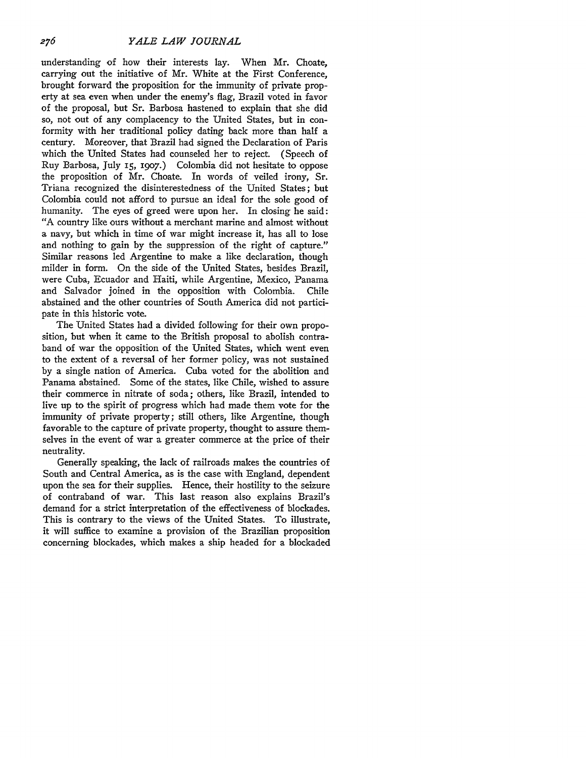understanding of how their interests lay. When Mr. Choate, carrying out the initiative of Mr. White at the First Conference, brought forward the proposition for the immunity of private property at sea even when under the enemy's flag, Brazil voted in favor of the proposal, but Sr. Barbosa hastened to explain that she did so, not out of any complacency to the United States, but in conformity with her traditional policy dating back more than half a century. Moreover, that Brazil had signed the Declaration of Paris which the United States had counseled her to reject. (Speech of Ruy Barbosa, July 15, **19o7.)** Colombia did not hesitate to oppose the proposition of Mr. Choate. In words of veiled irony, Sr. Triana recognized the disinterestedness of the United States; but Colombia could not afford to pursue an ideal for the sole good of humanity. The eyes of greed were upon her. In closing he said: "A country like ours without a merchant marine and almost without a navy, but which in time of war might increase it, has all to lose and nothing to gain **by** the suppression of the right of capture." Similar reasons led Argentine to make a like declaration, though milder in form. On the side of the United States, besides Brazil, were Cuba, Ecuador and Haiti, while Argentine, Mexico, Panama and Salvador joined in the opposition with Colombia. Chile abstained and the other countries of South America did not participate in this historic vote.

The United States had a divided following for their own proposition, but when it came to the British proposal to abolish contraband of war the opposition of the United States, which went even to the extent of a reversal of her former policy, was not sustained **by** a single nation of America. Cuba voted for the abolition and Panama abstained. Some of the states, like Chile, wished to assure their commerce in nitrate of soda; others, like Brazil, intended to live up to the spirit of progress which had made them vote for the immunity of private property; still others, like Argentine, though favorable to the capture of private property, thought to assure themselves in the event of war a greater commerce at the price of their neutrality.

Generally speaking, the lack of railroads makes the countries of South and Central America, as is the case with England, dependent upon the sea for their supplies. Hence, their hostility to the seizure of contraband of war. This last reason also explains Brazil's demand for a strict interpretation of the effectiveness of blockades. This is contrary to the views of the United States. To illustrate, it will suffice to examine a provision of the Brazilian proposition concerning blockades, which makes a ship headed for a blockaded

276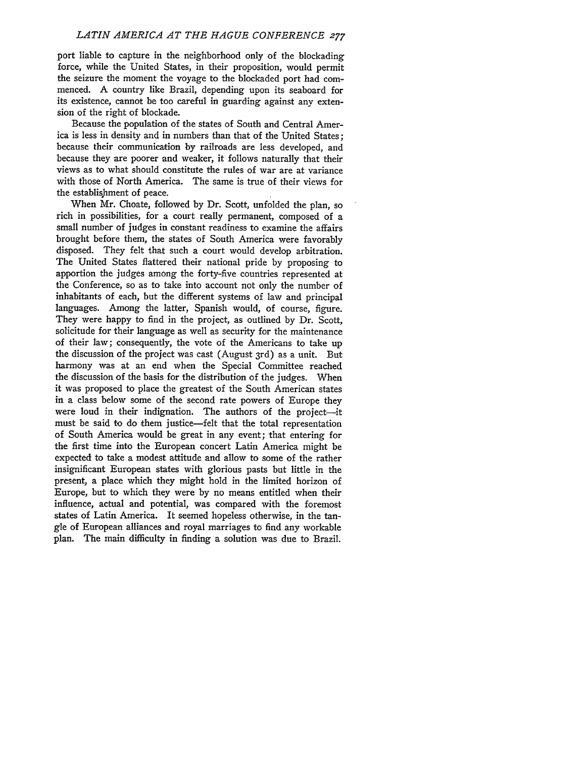port liable to capture in the neighborhood only of the blockading force, while the United States, in their proposition, would permit the seizure the moment the voyage to the blockaded port had commenced. A country like Brazil, depending upon its seaboard for its existence, cannot be too careful in guarding against any extension of the right of blockade.

Because the population of the states of South and Central America is less in density and in numbers than that of the United States; because their communication by railroads are less developed, and because they are poorer and weaker, it follows naturally that their views as to what should constitute the rules of war are at variance with those of North America. The same is true of their views for the establishment of peace.

When Mr. Choate, followed by Dr. Scott, unfolded the plan, so rich in possibilities, for a court really permanent, composed of a small number of judges in constant readiness to examine the affairs brought before them, the states of South America were favorably disposed. They felt that such a court would develop arbitration. The United States flattered their national pride by proposing to apportion the judges among the forty-five countries represented at the Conference, so as to take into account not only the number of inhabitants of each, but the different systems of law and principal languages. Among the latter, Spanish would, of course, figure. They were happy to find in the project, as outlined by Dr. Scott, solicitude for their language as well as security for the maintenance of their law; consequently, the vote of the Americans to take up the discussion of the project was cast (August 3rd) as a unit. But harmony was at an end when the Special Committee reached the discussion of the basis for the distribution of the judges. When it was proposed to place the greatest of the South American states in a class below some of the second rate powers of Europe they were loud in their indignation. The authors of the project--it must be said to do them justice-felt that the total representation of South America would be great in any event; that entering for the first time into the European concert Latin America might be expected to take a modest attitude and allow to some of the rather insignificant European states with glorious pasts but little in the present, a place which they might hold in the limited horizon of Europe, but to which they were by no means entitled when their influence, actual and potential, was compared with the foremost states of Latin America. It seemed hopeless otherwise, in the tangle of European alliances and royal marriages to find any workable plan. The main difficulty in finding a solution was due to Brazil.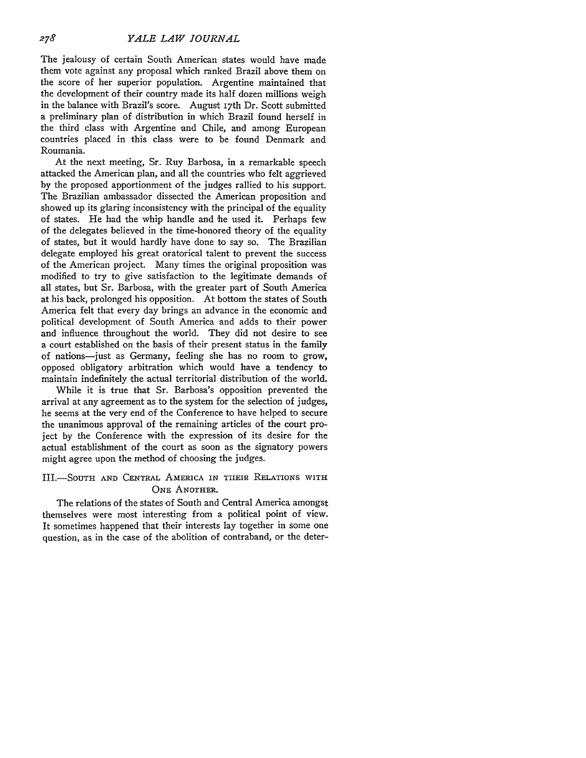The jealousy of certain South American states would have made them vote against any proposal which ranked Brazil above them on the score of her superior population. Argentine maintained that the development of their country made its half dozen millions weigh in the balance with Brazil's score. August 17th Dr. Scott submitted a preliminary plan of distribution in which Brazil found herself in the third class with Argentine and Chile, and among European countries placed in this class were to be found Denmark and Roumania.

At the next meeting, Sr. Ruy Barbosa, in a remarkable speech attacked the American plan, and all the countries who felt aggrieved by the proposed apportionment of the judges rallied to his support. The Brazilian ambassador dissected the American proposition and showed up its glaring inconsistency with the principal of the equality of states. He had the whip handle and 'he used it. Perhaps few of the delegates believed in the time-honored theory of the equality of states, but it would hardly have done to say so. The Brazilian delegate employed his great oratorical talent to prevent the success of the American project. Many times the original proposition was modified to try to give satisfaction to the legitimate demands of all states, but Sr. Barbosa, with the greater part of South America at his back, prolonged his opposition. At bottom the states of South America felt that every day brings an advance in the economic and political development of South America and adds to their power and influence throughout the world. They did not desire to see a court established on the basis of their present status in the family of nations-just as Germany, feeling she has no room to grow, opposed obligatory arbitration which would have a tendency to maintain indefinitely the actual territorial distribution of the world.

While it is true that Sr. Barbosa's opposition prevented the arrival at any agreement as to the system for the selection of judges, he seems at the very end of the Conference to have helped to secure the unanimous approval of the remaining articles of the court project by the Conference with the expression of its desire for the actual establishment of the court as soon as the signatory powers might agree upon the method of choosing the judges.

### III.-SOUTH **AND** CENTRAL AMERICA IN **TIEIR** RELATIONS WITH ONE ANOTHER.

The relations of the states of South and Central America amongst themselves were most interesting from a political point of view. It sometimes happened that their interests lay together in some one question, as in the case of the abolition of contraband, or the deter-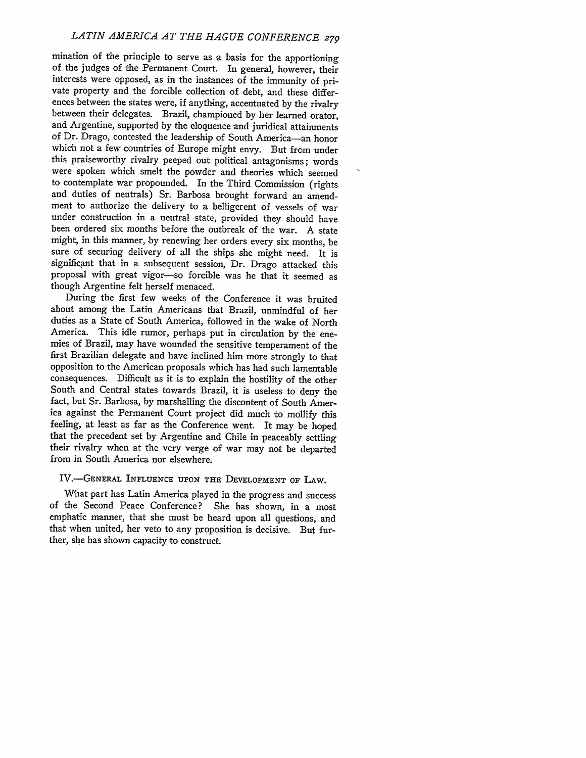# *LATIN AMERICA AT THE HAGUE CONFERENCE* **<sup>279</sup>**

mination of the principle to serve as a basis for the apportioning of the judges of the Permanent Court. In general, however, their interests were opposed, as in the instances of the immunity of private property and the forcible collection of debt, and these differences between the states were, if anything, accentuated by the rivalry between their delegates. Brazil, championed by her learned orator, and Argentine, supported by the eloquence and juridical attainments of Dr. Drago, contested the leadership of South America-an honor which not a few countries of Europe might envy. But from under this praiseworthy rivalry peeped out political antagonisms; words were spoken which smelt the powder and theories which seemed to contemplate war propounded. In the Third Commission (rights and duties of neutrals) Sr. Barbosa brought forward an amendment to authorize the delivery to a belligerent of vessels of war under construction in a neutral state, provided they should have been ordered six months before the outbreak of the war. A state might, in this manner, by renewing her orders every six months, be sure of securing delivery of all the ships she might need. It is significant that in a subsequent session, Dr. Drago attacked this proposal with great vigor-so forcible was he that it seemed as though Argentine felt herself menaced.

During the first few weeks of the Conference it was bruited about among the Latin Americans that Brazil, unmindful of her duties as a State of South America, followed in the wake of North America. This idle rumor, perhaps put in circulation by the enemies of Brazil, may have wounded the sensitive temperament of the first Brazilian delegate and have inclined him more strongly to that opposition to the American proposals which has had such lamentable consequences. Difficult as it is to explain the hostility of the other South and Central states towards Brazil, it is useless to deny the fact, but Sr. Barbosa, by marshalling the discontent of South America against the Permanent Court project did much to mollify this feeling, at least as far as the Conference went. It may be hoped that the precedent set by Argentine and Chile in peaceably settling their rivalry when at the very verge of war may not be departed from in South America nor elsewhere.

# IV.-GENERAL INFLUENCE UPON THE DEVELOPMENT OF LAW.

What part has Latin America played in the progress and success of the Second Peace Conference? She has shown, in a most emphatic manner, that she must be heard upon all questions, and that when united, her veto to any proposition is decisive. But further, she has shown capacity to construct.